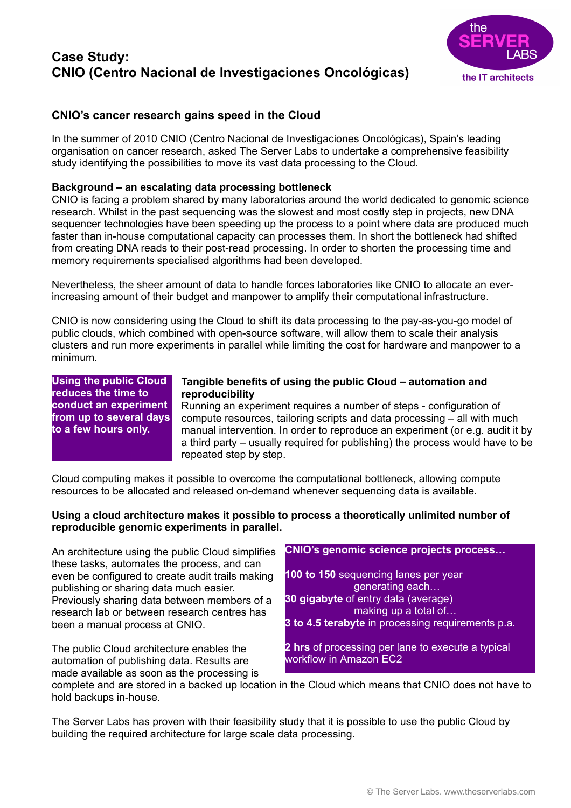# **Case Study: CNIO (Centro Nacional de Investigaciones Oncológicas)**



## **CNIO's cancer research gains speed in the Cloud**

In the summer of 2010 CNIO (Centro Nacional de Investigaciones Oncológicas), Spain's leading organisation on cancer research, asked The Server Labs to undertake a comprehensive feasibility study identifying the possibilities to move its vast data processing to the Cloud.

## **Background – an escalating data processing bottleneck**

CNIO is facing a problem shared by many laboratories around the world dedicated to genomic science research. Whilst in the past sequencing was the slowest and most costly step in projects, new DNA sequencer technologies have been speeding up the process to a point where data are produced much faster than in-house computational capacity can processes them. In short the bottleneck had shifted from creating DNA reads to their post-read processing. In order to shorten the processing time and memory requirements specialised algorithms had been developed.

Nevertheless, the sheer amount of data to handle forces laboratories like CNIO to allocate an everincreasing amount of their budget and manpower to amplify their computational infrastructure.

CNIO is now considering using the Cloud to shift its data processing to the pay-as-you-go model of public clouds, which combined with open-source software, will allow them to scale their analysis clusters and run more experiments in parallel while limiting the cost for hardware and manpower to a minimum.

**Using the public Cloud reduces the time to conduct an experiment from up to several days to a few hours only.**

### **Tangible benefits of using the public Cloud – automation and reproducibility**

Running an experiment requires a number of steps - configuration of compute resources, tailoring scripts and data processing – all with much manual intervention. In order to reproduce an experiment (or e.g. audit it by a third party – usually required for publishing) the process would have to be repeated step by step.

Cloud computing makes it possible to overcome the computational bottleneck, allowing compute resources to be allocated and released on-demand whenever sequencing data is available.

## **Using a cloud architecture makes it possible to process a theoretically unlimited number of reproducible genomic experiments in parallel.**

An architecture using the public Cloud simplifies these tasks, automates the process, and can even be configured to create audit trails making publishing or sharing data much easier. Previously sharing data between members of a research lab or between research centres has been a manual process at CNIO.

The public Cloud architecture enables the automation of publishing data. Results are made available as soon as the processing is **CNIO's genomic science projects process…** 

**100 to 150** sequencing lanes per year generating each… **30 gigabyte** of entry data (average) making up a total of…

**3 to 4.5 terabyte** in processing requirements p.a.

**2 hrs** of processing per lane to execute a typical workflow in Amazon EC2

complete and are stored in a backed up location in the Cloud which means that CNIO does not have to hold backups in-house.

The Server Labs has proven with their feasibility study that it is possible to use the public Cloud by building the required architecture for large scale data processing.